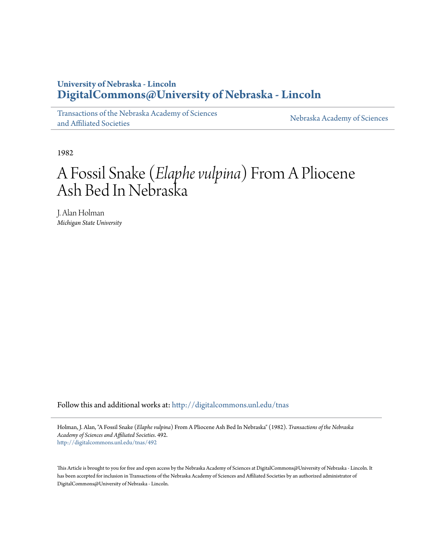### **University of Nebraska - Lincoln [DigitalCommons@University of Nebraska - Lincoln](http://digitalcommons.unl.edu?utm_source=digitalcommons.unl.edu%2Ftnas%2F492&utm_medium=PDF&utm_campaign=PDFCoverPages)**

[Transactions of the Nebraska Academy of Sciences](http://digitalcommons.unl.edu/tnas?utm_source=digitalcommons.unl.edu%2Ftnas%2F492&utm_medium=PDF&utm_campaign=PDFCoverPages) [and Affiliated Societies](http://digitalcommons.unl.edu/tnas?utm_source=digitalcommons.unl.edu%2Ftnas%2F492&utm_medium=PDF&utm_campaign=PDFCoverPages)

[Nebraska Academy of Sciences](http://digitalcommons.unl.edu/nebacadsci?utm_source=digitalcommons.unl.edu%2Ftnas%2F492&utm_medium=PDF&utm_campaign=PDFCoverPages)

1982

# A Fossil Snake (*Elaphe vulpina*) From A Pliocene Ash Bed In Nebraska

J. Alan Holman *Michigan State University*

Follow this and additional works at: [http://digitalcommons.unl.edu/tnas](http://digitalcommons.unl.edu/tnas?utm_source=digitalcommons.unl.edu%2Ftnas%2F492&utm_medium=PDF&utm_campaign=PDFCoverPages)

Holman, J. Alan, "A Fossil Snake (*Elaphe vulpina*) From A Pliocene Ash Bed In Nebraska" (1982). *Transactions of the Nebraska Academy of Sciences and Affiliated Societies*. 492. [http://digitalcommons.unl.edu/tnas/492](http://digitalcommons.unl.edu/tnas/492?utm_source=digitalcommons.unl.edu%2Ftnas%2F492&utm_medium=PDF&utm_campaign=PDFCoverPages)

This Article is brought to you for free and open access by the Nebraska Academy of Sciences at DigitalCommons@University of Nebraska - Lincoln. It has been accepted for inclusion in Transactions of the Nebraska Academy of Sciences and Affiliated Societies by an authorized administrator of DigitalCommons@University of Nebraska - Lincoln.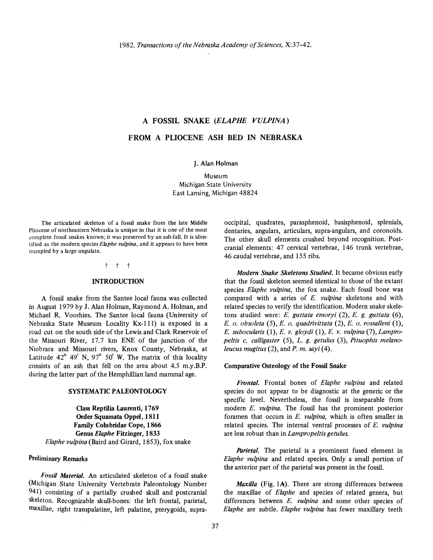## A FOSSIL SNAKE *(ELAPHE VULPINA)*  FROM A PLIOCENE ASH BED IN NEBRASKA

J. Alan Holman

Museum Michigan State University East Lansing, Michigan 48824

The articulated skeleton of a fossil snake from the late Middle Pliocene of northeastern Nebraska is unique in that it is one of the most complete fossil snakes known; it was preserved by an ash-fall. It is identified as the modern species *Ekzphe vulpina,* and it appears to have been trampled by a large ungulate.

#### t t t

#### INTRODUCTION

A fossil snake from the Santee local fauna was collected in August 1979 by J. Alan Holman, Raymond A. Holman, and Michael R. Voorhies. The Santee local fauna (University of Nebraska State Museum Locality Kx-111) is exposed in a road cut on the south side of the Lewis and Clark Reservoir of the Missouri River, 17.7 km ENE of the junction of the Niobrara and Missouri rivers, Knox County, Nebraska, at Latitude  $42^{\circ}$  49' N, 97° 50' W. The matrix of this locality consists of an ash that fell on the area about 4.5 m.y.B.P. during the latter part of the Hemphillian land mammal age.

#### SYSTEMATIC PALEONTOLOGY

Class Reptilia Laurenti, 1769 Order Squamata Oppel, 1811 Family Colubridae Cope, 1866 Genus *Elaphe* Fitzinger, 1833 *Elaphe vulpina* (Baird and Girard, 1853), fox snake

#### Preliminary Remarks

*Fossil Material.* An articulated skeleton of a fossil snake (Michigan State University Vertebrate Paleontology Number 941) consisting of a partially crushed skull and postcranial skeleton. Recognizable skull-bones: the left frontal, parietal, maxillae, right transpalatine, left palatine, pterygoids, supraoccipital, quadrates, parasphenoid, basisphenoid, splenials, dentaries, angulars, articulars, supra-angulars, and coronoids. The other skull elements crushed beyond recognition. Postcranial elements: 47 cervical vertebrae, 146 trunk vertebrae, 46 caudal vertebrae, and 155 ribs.

*Modern Snake Skeletons Studied.* It became obvious early that the fossil skeleton seemed identical to those of the extant species *Elaphe vulpina,* the fox snake. Each fossil bone was compared with a series of *E. vulpina* skeletons and with related species to verify the identification. Modern snake skeletons studied were: *E. guttata emoryi* (2), *E. g. guttata (6), E. o. obsoleta* (5), *E. o. quadrivittata* (2), *E. o. rossalleni* (1), *E. subocularis* (1), *E. v. gloydi* (1), *E. v. vulpina* (7), *Lampro*peltis c. calligaster (5), L. g. getulus (3), Pituophis melano*leucus mugitus* (2), and *P. m. sayi* (4).

#### Comparative Osteology of the Fossil Snake

*Frontal.* Frontal bones of *Elaphe vulpina* and related species do not appear to be diagnostic at the generic or the specific level. Nevertheless, the fossil is inseparable from modern *E. vulpina.* The fossil has the prominent posterior foramen that occurs in *E. vulpina,* which is often smaller in related species. The internal ventral processes of *E. vulpina*  are less robust than in *Lampropeltis getulus.* 

*Parietal.* The parietal is a prominent fused element in *Elaphe vulpina* and related species. Only a small portion of the anterior part of the parietal was present in the fossil.

*Maxilla* (Fig. lA). There are strong differences between the maxillae of *Elaphe* and species of related genera, but differences between *E. vulpina* and some other species of *Elaphe* are subtle. *Elaphe vulpina* has fewer maxillary teeth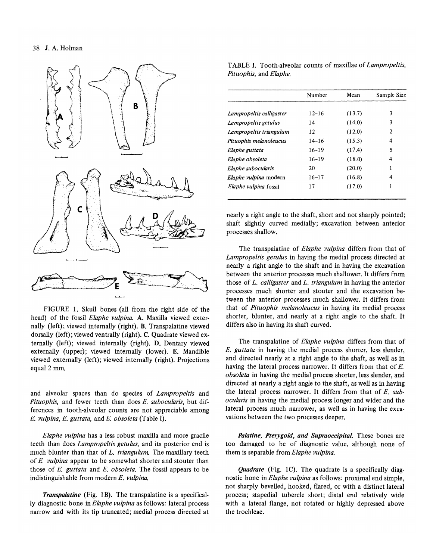

FIGURE 1. Skull bones (all from the right side of the head) of the fossil *Elaphe vulpina.* A. Maxilla viewed externally (left); viewed internally (right). B. Transpalatine viewed dorsally (left); viewed ventrally (right). C. Quadrate viewed externally (left); viewed internally (right). D. Dentary viewed externally (upper); viewed internally (lower). E. Mandible viewed externally (left); viewed internally (right). Projections equal 2 mm.

and alveolar spaces than do species of *Lampropeltis* and *Pituophis,* and fewer teeth than does *E. subocularis,* but differences in tooth-alveolar counts are not appreciable among *E. vulpina, E. guttata,* and *E. obsoleta* (Table I).

*Elaphe vulpina* has a less robust maxilla and more gracile teeth than does *Lampropeltis getulus,* and its posterior end is much blunter than that of *L. triangulum* The maxillary teeth of *E. vulpina* appear to be somewhat shorter and stouter than those of *E. guttata* and *E. obsoleta.* The fossil appears to be indistinguishable from modern *E. vulpina.* 

*Transpalatine* (Fig. 1B). The transpalatine is a specifically diagnostic bone in *Elaphe vulpina* as follows: lateral process narrow and with its tip truncated; medial process directed at

T ABLE I. Tooth-alveolar counts of maxillae of *Lampropeltis, Pituophis,* and *Elaphe.* 

|                              | Number    | Mean   | Sample Size |
|------------------------------|-----------|--------|-------------|
| Lampropeltis calligaster     | $12 - 16$ | (13.7) | 3           |
| Lampropeltis getulus         | 14        | (14.0) | 3           |
| Lampropeltis triangulum      | 12        | (12.0) | 2           |
| Pituophis melanoleucus       | $14 - 16$ | (15.3) | 4           |
| Elaphe guttata               | $16 - 19$ | (17.4) | 5           |
| Elaphe obsoleta              | $16 - 19$ | (18.0) | 4           |
| Elaphe subocularis           | 20        | (20.0) | 1           |
| <i>Elaphe vulpina</i> modern | $16 - 17$ | (16.8) | 4           |
| <i>Elaphe vulpina</i> fossil | 17        | (17.0) | ı           |

nearly a right angle to the shaft, short and not sharply pointed; shaft slightly curved medially; excavation between anterior processes shallow.

The transpalatine of *Elaphe vulpina* differs from that of *Lampropeltis getulus* in having the medial process directed at nearly a right angle to the shaft and in having the excavation between the anterior processes much shallower. It differs from those of *L. calligaster* and *L. triangulum* in having the anterior processes much shorter and stouter and the excavation between the anterior processes much shallower. It differs from that of *Pituophis melanoleucus* in having its medial process shorter, blunter, and nearly at a right angle to the shaft. It differs also in having its shaft curved.

The transpalatine of *Elaphe vulpina* differs from that of *E. guttata* in having the medial process shorter, less slender, and directed nearly at a right angle to the shaft, as well as in having the lateral process narrower. It differs from that of *E. obsoleta* in having the medial process shorter, less slender, and directed at nearly a right angle to the shaft, as well as in having the lateral process narrower. It differs from that of *E. subocularis* in having the medial process longer and wider and the lateral process much narrower, as well as in having the excavations between the two processes deeper.

*Palatine, Pterygoid, and Supraoccipital.* These bones are too damaged to be of diagnostic value, although none of them is separable from *Elaphe vulpina.* 

*Quadrate* (Fig. IC). The quadrate is a specifically diagnostic bone in *Elaphe vulpina* as follows: proximal end simple, not sharply bevelled, hooked, flared, or with a distinct lateral process; stapedial tubercle short; distal end relatively wide with a lateral flange, not rotated or highly depressed above the trochleae.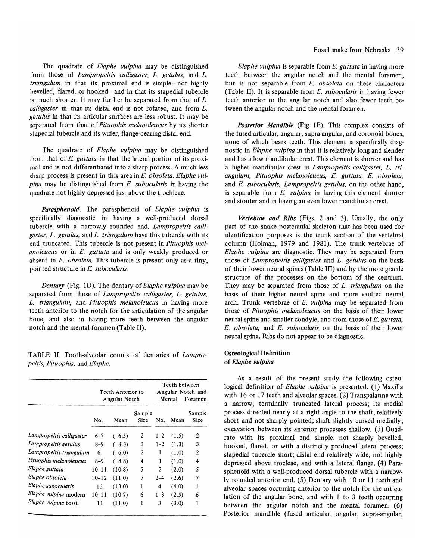The quadrate of *Elaphe vulpina* may be distinguished from those of *Lampropeltis calligaster*, *L. getulus*, and *L. triangulum* in that its proximal end is simple-not highly bevelled, flared, or hooked-and in that its stapedial tubercle is much shorter. It may further be separated from that of  $L$ . *calligaster* in that its distal end is not rotated, and from L. *getulus* in that its articular surfaces are less robust. It may be separated from that of *Pituophis melanoleucus* by its shorter stapedial tubercle and its wider, flange-bearing distal end.

The quadrate of *Elaphe vulpina* may be distinguished from that of E. *guttata* in that the lateral portion of its proximal end is not differentiated into a sharp process. A much less sharp process is present in this area in *E. obsoleta. Elaphe vulpina* may be distinguished from E. *subocularis* in having the quadrate not highly depressed just above the trochleae.

*Parasphenoid.* The parasphenoid of *Elaphe vulpina* is specifically diagnostic in having a well-produced dorsal tubercle with a narrowly rounded end. *Lampropeltis calligaster,* L. *getulus,* and L. *triangulum* have this tubercle with its end truncated. This tubercle is not present in *Pituophis melanoleucus* or in *E. guttata* and is only weakly produced or absent in *E. obsoleta*. This tubercle is present only as a tiny, pointed structure in *E. subocularis.* 

*Dentary* (Fig. ID). The dentary of *Elaphe vulpina* may be separated from those of *Lampropeltis calligaster*, *L. getulus*, L. *triangulum,* and *Pituophis melanoleucus* in having more teeth anterior to the notch for the articulation of the angular bone, and also in having more teeth between the angular notch and the mental foramen (Table 11).

TABLE 11. Tooth-alveolar counts of dentaries of *Lampropeltis, Pituophis,* and *Elaphe.* 

|                          | Teeth Anterior to<br>Angular Notch |           | Teeth between<br>Angular Notch and<br>Foramen<br>Mental |         |       |                |
|--------------------------|------------------------------------|-----------|---------------------------------------------------------|---------|-------|----------------|
|                          | No.                                | Mean      | Sample<br>Size                                          | No.     | Mean  | Sample<br>Size |
| Lampropeltis calligaster | 6–7                                | (6.5)     | 2                                                       | $1 - 2$ | (1.5) | 2              |
| Lampropeltis getulus     | $8 - 9$                            | (8.3)     | 3                                                       | $1 - 2$ | (1.3) | 3              |
| Lampropeltis triangulum  | 6                                  | (6.0)     | 2                                                       | 1       | (1.0) | $\overline{2}$ |
| Pituophis melanoleucus   | $8 - 9$                            | 8.8)<br>€ | 4                                                       | 1       | (1.0) | 4              |
| Elaphe guttata           | $10 - 11$                          | (10.8)    | 5                                                       | 2       | (2.0) | 5              |
| Elaphe obsoleta          | $10 - 12$                          | (11.0)    | 7                                                       | $2 - 4$ | (2.6) | 7              |
| Elaphe subocularis       | 13                                 | (13.0)    | 1                                                       | 4       | (4.0) | 1              |
| Elaphe vulpina modern    | $10 - 11$                          | (10.7)    | 6                                                       | $1 - 3$ | (2.5) | 6              |
| Elaphe vulpina fossil    | 11                                 | (11.0)    | 1                                                       | 3       | (3.0) | 1              |

*Elaphe vulpina* is separable from *E. guttata* in having more teeth between the angular notch and the mental foramen, but is not separable from *E. obsoleta* on these characters (Table 11). It is separable from *E. subocularis* in having fewer teeth anterior to the angular notch and also fewer teeth between the angular notch and the mental foramen.

*Posterior Mandible* (Fig 1E). This complex consists of the fused articular, angular, supra-angular, and coronoid bones, none of which bears teeth. This element is specifically diagnostic in *Elaphe vulpina* in that it is relatively long and slender and has a low mandibular crest. This element is shorter and has a higher mandibular crest in *Lampropeltis calligaster,* L. *triangulum, Pituophis melanoleucus, E. guttata,* E. *obsoleta,*  and *E. subocularis. Lampropeltis getulus,* on the other hand, is separable from *E. vulpina* in having this element shorter and stouter and in having an even lower mandibular crest.

*Vertebrae and Ribs* (Figs. 2 and 3). Usually, the only part of the snake postcranial skeleton that has been used for identification purposes is the trunk section of the vertebral column (Holman, 1979 and 1981). The trunk vertebrae of *Elaphe vulpina* are diagnostic. They may be separated from those of *Lampropeltis calligaster* and *L. getulus* on the basis of their lower neural spines (Table Ill) and by the more gracile structure of the processes on the bottom of the centrum. They may be separated from those of L. *triangulum* on the basis of their higher neural spine and more vaulted neural arch. Trunk vertebrae of *E. vulpina* may be separated from those of *Pituophis melanoleucus* on the basis of their lower neural spine and smaller condyle, and from those of *E. guttata, E. obsoleta,* and *E. subocularis* on the basis of their lower neural spine. Ribs do not appear to be diagnostic.

#### Osteological **Definition**  of *Elaphe vulpina*

As a result of the present study the following osteological definition of *Elaphe vulpina* is presented. (I) Maxilla with 16 or 17 teeth and alveolar spaces. (2) Transpalatine with a narrow, terminally truncated lateral process; its medial process directed nearly at a right angle to the shaft, relatively short and not sharply pointed; shaft slightly curved medially; excavation between its anterior processes shallow. (3) Quadrate with its proximal end simple, not sharply bevelled, hooked, flared, or with a distinctly produced lateral process; stapedial tubercle short; distal end relatively wide, not highly depressed above trocleae, and with a lateral flange. (4) Parasphenoid with a well-produced dorsal tubercle with a narrowly rounded anterior end. (5) Dentary with 10 or 11 teeth and alveolar spaces occurring anterior to the notch for the articulation of the angular bone, and with 1 to 3 teeth occurring between the angular notch and the mental foramen. (6) Posterior mandible (fused articular, angular, supra-angular,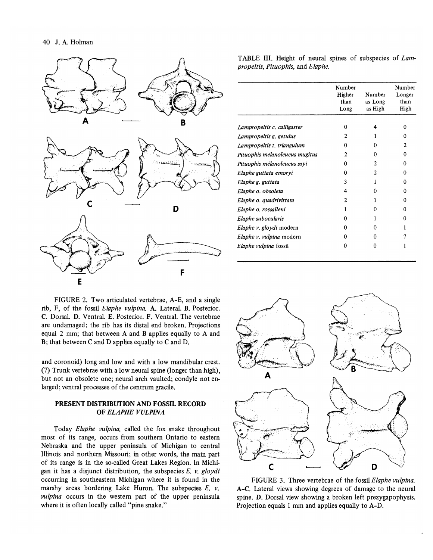

TABLE Ill. Height of neural spines of subspecies of *Lampropeltis, Pituophis,* and *Elaphe.* 

|                                | Number<br>Higher | Number             | Number<br>Longer |
|--------------------------------|------------------|--------------------|------------------|
|                                | than<br>Long     | as Long<br>as High | than<br>High     |
|                                |                  |                    |                  |
| Lampropeltis c. calligaster    | 0                | 4                  | 0                |
| Lampropeltis g. getulus        | 2                |                    | 0                |
| Lampropeltis t. triangulum     | 0                | O                  | 2                |
| Pituophis melanoleucus mugitus | $\mathfrak{D}$   | Ω                  | Ω                |
| Pituophis melanoleucus sayi    | o                | 2                  | 0                |
| Elaphe guttata emoryi          | 0                |                    | 0                |
| Elaphe g. guttata              | 3                |                    | Ω                |
| Elaphe o. obsoleta             | 4                | Ω                  | 0                |
| Elaphe o. quadrivittata        | 2                |                    | O                |
| Elaphe o. rossalleni           |                  | 0                  | n                |
| Elaphe subocularis             | ∩                |                    | 0                |
| Elaphe v. gloydi modern        | 0                | o                  |                  |
| Elaphe v. vulpina modern       | 0                | O                  |                  |
| Elaphe vulpina fossil          | O                | 0                  |                  |

FIGURE 2. Two articulated vertebrae, A-E, and a single rib, F, of the fossil *Elaphe vulpina.* A. Lateral. B. Posterior. C. Dorsal. D. Ventral. E. Posterior. F. Ventral. The vertebrae are undamaged; the rib has its distal end broken. Projections equal 2 mm; that between A and B applies equally to A and B; that between C and D applies equally to C and D.

and coronoid) long and low and with a low mandibular crest. (7) Trunk vertebrae with a low neural spine (longer than high), but not an obsolete one; neural arch vaulted; condyle not enlarged; ventral processes of the centrum gracile.

#### PRESENT DISTRIBUTION AND FOSSIL RECORD OF *ELAPHE VULPINA*

Today *Elaphe vulpina,* called the fox snake throughout most of its range, occurs from southern Ontario to eastern Nebraska and the upper peninsula of Michigan to central Illinois and northern Missouri; in other words, the main part of its range is in the so-called Great Lakes Region. In Michigan it has a disjunct distribution, the subspecies *E. v. gloydi*  occurring in southeastern Michigan where it is found in the marshy areas bordering Lake Huron. The subspecies E. *v. vulpina* occurs in the western part of the upper peninsula where it is often locally called "pine snake."



FIGURE 3. Three vertebrae of the fossil *Elaphe vulpina.*  A-C. Lateral views showing degrees of damage to the neural spine. D. Dorsal view showing a broken left prezygapophysis. Projection equals 1 mm and applies equally to A-D.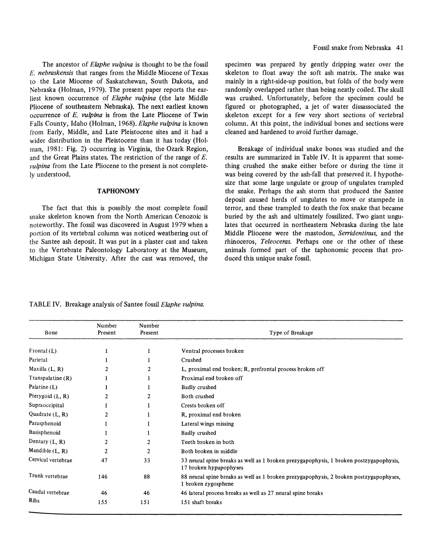The ancestor of *Elaphe vulpina* is thought to be the fossil *E. nebraskensis* that ranges from the Middle Miocene of Texas to the Late Miocene of Saskatchewan, South Dakota, and Nebraska (Holman, 1979). The present paper reports the earliest known occurrence of *Elaphe vulpina* (the late Middle pliocene of southeastern Nebraska). The next earliest known occurrence of *E. vulpina* is from the Late Pliocene of Twin Falls County, Idaho (Holman, 1968). *Elaphe vulpina* is known from Early, Middle, and Late Pleistocene sites and it had a wider distribution in the Pleistocene than it has today (Holman, 1981: Fig. 2) occurring in Virginia, the Ozark Region, and the Great Plains states. The restriction of the range of E. *vulpina* from the Late Pliocene to the present is not completely understood.

#### **TAPHONOMY**

The fact that this is possibly the most complete fossil snake skeleton known from the North American Cenozoic is noteworthy. The fossil was discovered in August 1979 when a portion of its vertebral column was noticed weathering out of the Santee ash deposit. It was put in a plaster cast and taken to the Vertebrate Paleontology Laboratory at the Museum, Michigan State University. After the cast was removed, the

specimen was prepared by gently dripping water over the skeleton to float away the soft ash matrix. The snake was mainly in a right-side-up position, but folds of the body were randomly overlapped rather than being neatly coiled. The skull was crushed. Unfortunately, before the specimen could be figured or photographed, a jet of water dissassociated the skeleton except for a few very short sections of vertebral column. At this point, the individual bones and sections were cleaned and hardened to avoid further damage.

Breakage of individual snake bones was studied and the results are summarized in Table IV. It is apparent that something crushed the snake either before or during the time it was being covered by the ash-fall that preserved it. I hypothesize that some large ungulate or group of ungulates trampled the snake. Perhaps the ash storm that produced the Santee deposit caused herds of ungulates to move or stampede in terror, and these trampled to death the fox snake that became buried by the ash and ultimately fossilized. Two giant ungulates that occurred in northeastern Nebraska during the late Middle Pliocene were the mastodon, *Serridentinus,* and the rhinoceros, *Teleoceras.* Perhaps one or the other of these animals formed part of the taphonomic process that produced this unique snake fossil.

| Bone                | Number<br>Present | Number<br>Present | Type of Breakage                                                                                                 |
|---------------------|-------------------|-------------------|------------------------------------------------------------------------------------------------------------------|
| Frontal $(L)$       |                   | 1                 | Ventral processes broken                                                                                         |
| Parietal            |                   |                   | Crushed                                                                                                          |
| Maxilla $(L, R)$    | 2                 | 2                 | L, proximal end broken; R, prefrontal process broken off                                                         |
| Transpalatine $(R)$ |                   |                   | Proximal end broken off                                                                                          |
| Palatine $(L)$      |                   |                   | Badly crushed                                                                                                    |
| Pterygoid $(L, R)$  | 2                 | 2                 | Both crushed                                                                                                     |
| Supraoccipital      |                   |                   | Crests broken off                                                                                                |
| Quadrate $(L, R)$   | 2                 |                   | R, proximal end broken                                                                                           |
| Parasphenoid        |                   |                   | Lateral wings missing                                                                                            |
| Basisphenoid        |                   |                   | Badly crushed                                                                                                    |
| Dentary $(L, R)$    |                   | $\overline{2}$    | Teeth broken in both                                                                                             |
| Mandible $(L, R)$   | $\overline{2}$    | $\overline{2}$    | Both broken in middle                                                                                            |
| Cervical vertebrae  | 47                | 33                | 33 neural spine breaks as well as 1 broken prezygapophysis, 1 broken postzygapophysis,<br>17 broken hypapophyses |
| Trunk vertebrae     | 146               | 88                | 88 neural spine breaks as well as 1 broken prezygapophysis, 2 broken postzygapophyses,<br>1 broken zygosphene    |
| Caudal vertebrae    | 46                | 46                | 46 lateral process breaks as well as 27 neural spine breaks                                                      |
| <b>Ribs</b>         | 155               | 151               | 151 shaft breaks                                                                                                 |

TABLE IV. Breakage analysis of San tee fossil *Elaphe vulpina.*